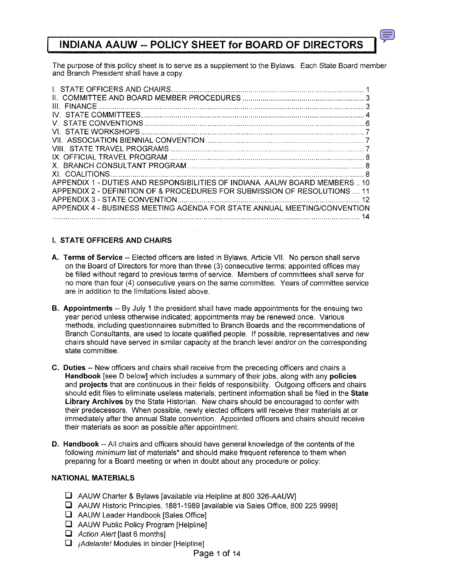# **INDIANA AAUW -- POLICY SHEET for BOARD OF DIRECTORS I**

The purpose of this policy sheet is to serve as a supplement to the Bylaws. Each State Board member and Branch President shall have a copy.

| <b>III FINANCE</b>                                                       |    |
|--------------------------------------------------------------------------|----|
|                                                                          |    |
|                                                                          |    |
|                                                                          |    |
|                                                                          |    |
|                                                                          |    |
|                                                                          |    |
|                                                                          |    |
|                                                                          |    |
| APPENDIX 1 - DUTIES AND RESPONSIBILITIES OF INDIANA AAUW BOARD MEMBERS10 |    |
| APPENDIX 2 - DEFINITION OF & PROCEDURES FOR SUBMISSION OF RESOLUTIONS    |    |
|                                                                          |    |
| APPENDIX 4 - BUSINESS MEETING AGENDA FOR STATE ANNUAL MEETING/CONVENTION | 14 |

# I. STATE OFFICERS AND CHAIRS

- A. Terms of Service -- Elected officers are listed in Bylaws, Article VII. No person shall serve on the Board of Directors for more than three (3) consecutive terms; appointed offices may be filled without regard to previous terms of service. Members of committees shall serve for no more than four (4) consecutive years on the same committee. Years of committee service are in addition to the limitations listed above.
- **B.** Appointments -- By July 1 the president shall have made appointments for the ensuing two year period unless otherwise indicated; appointments may be renewed once. Various methods, including questionnaires submitted to Branch Boards and the recommendations of Branch Consultants, are used to locate qualified people. If possible, representatives and new chairs should have served in similar capacity at the branch level and/or on the corresponding state committee.
- C. Duties -- New officers and chairs shall receive from the preceding officers and chairs a Handbook [see D below] which includes a summary of their jobs, along with any policies and projects that are continuous in their fields of responsibility. Outgoing officers and chairs should edit files to eliminate useless materials; pertinent information shall be filed in the State Library Archives by the State Historian. New chairs should be encouraged to confer with their predecessors. When possible, newly elected officers will receive their materials at or immediately after the annual State convention. Appointed officers and chairs should receive their materials as soon as possible after appointment.
- D. Handbook -- All chairs and officers should have general knowledge of the contents of the following *minimum* list of materials\* and should make frequent reference to them when preparing for a Board meeting or when in doubt about any procedure or policy:

## NATIONAL MATERIALS

- $\Box$  AAUW Charter & Bylaws [available via Helpline at 800 326-AAUW]
- **Q** AAUW Historic Principles, 1881-1989 [available via Sales Office, 800 225 9998]
- $\Box$  AAUW Leader Handbook [Sales Office]
- $\Box$  AAUW Public Policy Program [Helpline]
- $\Box$  Action Alert [last 6 months]
- $\Box$  *jAdelante!* Modules in binder [Helpline]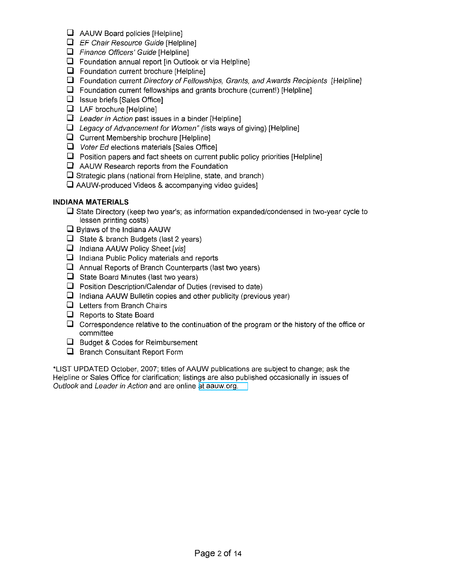- $\Box$  AAUW Board policies [Helpline]
- $\Box$  EF Chair Resource Guide [Helpline]
- $\Box$  Finance Officers' Guide [Helpline]
- $\Box$  Foundation annual report [in Outlook or via Helpline]
- $\Box$  Foundation current brochure [Helpline]
- $\Box$  Foundation current Directory of Fellowships, Grants, and Awards Recipients [Helpline]
- $\Box$  Foundation current fellowships and grants brochure (current!) [Helpline]
- $\Box$  Issue briefs [Sales Office]
- **Q** LAF brochure [Helpline]
- $\Box$  Leader in Action past issues in a binder [Helpline]
- $\Box$  Legacy of Advancement for Women" (lists ways of giving) [Helpline]
- $\Box$  Current Membership brochure [Helpline]
- $\Box$  Voter Ed elections materials [Sales Office]
- $\square$  Position papers and fact sheets on current public policy priorities [Helpline]
- $\Box$  AAUW Research reports from the Foundation
- $\square$  Strategic plans (national from Helpline, state, and branch)
- $\Box$  AAUW-produced Videos & accompanying video guides]

## **INDIANA MATERIALS**

- $\Box$  State Directory (keep two year's; as information expanded/condensed in two-year cycle to lessen printing costs)
- $\square$  Bylaws of the Indiana AAUW
- $\Box$  State & branch Budgets (last 2 years)
- $\Box$  Indiana AAUW Policy Sheet [vis]
- $\Box$  Indiana Public Policy materials and reports
- $\Box$  Annual Reports of Branch Counterparts (last two years)
- $\Box$  State Board Minutes (last two years)
- $\Box$  Position Description/Calendar of Duties (revised to date)
- $\Box$  Indiana AAUW Bulletin copies and other publicity (previous year)
- $\Box$  Letters from Branch Chairs
- $\Box$  Reports to State Board
- $\Box$  Correspondence relative to the continuation of the program or the history of the office or committee
- $\Box$  Budget & Codes for Reimbursement
- $\Box$  Branch Consultant Report Form

'L1ST UPDATED October, 2007; titles of AAUW publications are subject to change; ask the Helpline or Sales Office for clarification; listings are also published occasionally in issues of Outlook and Leader in Action and are online at [aauw.org.](http://aauw.org)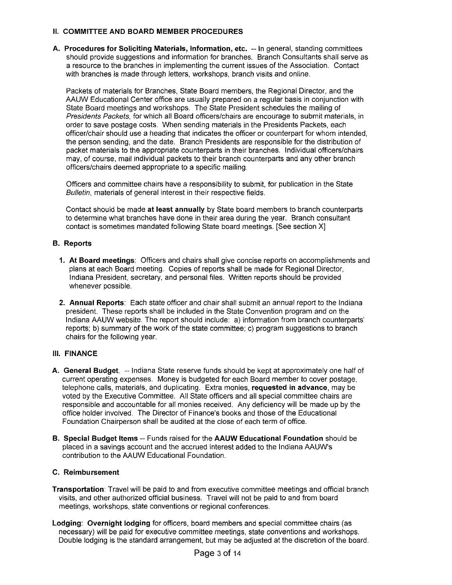## **II. COMMITTEE AND BOARD MEMBER PROCEDURES**

**A. Procedures for Soliciting Materials, Information, etc. -- In** general, standing committees should provide suggestions and information for branches. Branch Consultants shall serve as a resource to the branches in implementing the current issues of the Association. Contact with branches is made through letters, workshops, branch visits and online.

Packets of materials for Branches, State Board members, the Regional Director, and the AAUW Educational Center office are usually prepared on a regular basis in conjunction with State Board meetings and workshops. The State President schedules the mailing of Presidents Packets, for which all Board officers/chairs are encourage to submit materials, in order to save postage costs. When sending materials in the Presidents Packets, each officer/chair should use a heading that indicates the officer or counterpart for whom intended, the person sending, and the date. Branch Presidents are responsible for the distribution of packet materials to the appropriate counterparts in their branches. Individual officers/chairs may, of course. mail individual packets to their branch counterparts and any other branch officers/chairs deemed appropriate to a specific mailing.

Officers and committee chairs have a responsibility to submit, for publication in the State Bulletin, materials of general interest in their respective fields.

Contact should be made **at least annually** by State board members to branch counterparts to determine what branches have done in their area during the year. Branch consultant contact is sometimes mandated following State board meetings. [See section Xl

## **B. Reports**

- **1. At Board meetings:** Officers and chairs shall give concise reports on accomplishments and plans at each Board meeting. Copies of reports shall be made for Regional Director, Indiana President, secretary, and personal files. Written reports should be provided whenever possible.
- **2. Annual Reports:** Each state officer and chair shall submit an annual report to the Indiana president. These reports shall be included in the State Convention program and on the Indiana MUW website. The report should include: a) information from branch counterparts' reports; b) summary of the work of the state committee; c) program suggestions to branch chairs for the following year.

#### **III. FINANCE**

- **A. General Budget.** -- Indiana State reserve funds should be kept at approximately one half of current operating expenses. Money is budgeted for each Board member to cover postage, telephone calls, materials, and duplicating. Extra monies, **requested in advance,** may be voted by the Executive Committee. All State officers and all special committee chairs are responsible and accountable for all monies received. Any deficiency will be made up by the office holder involved. The Director of Finance's books and those of the Educational Foundation Chairperson shall be audited at the close of each term of office.
- **B. Special Budget Items** -- Funds raised for the **AAUW Educational Foundation** should be placed in a savings account and the accrued interest added to the Indiana MUW's contribution to the AAUW Educational Foundation.

## **C. Reimbursement**

- **Transportation:** Travel will be paid to and from executive committee meetings and official branch visits, and other authorized official business. Travel will not be paid to and from board meetings, workshops, state conventions or regional conferences.
- **Lodging: Overnight lodging** for officers, board members and special committee chairs (as necessary) will be paid for executive committee meetings, state conventions and workshops. Double lodging is the standard arrangement, but may be adjusted at the discretion of the board.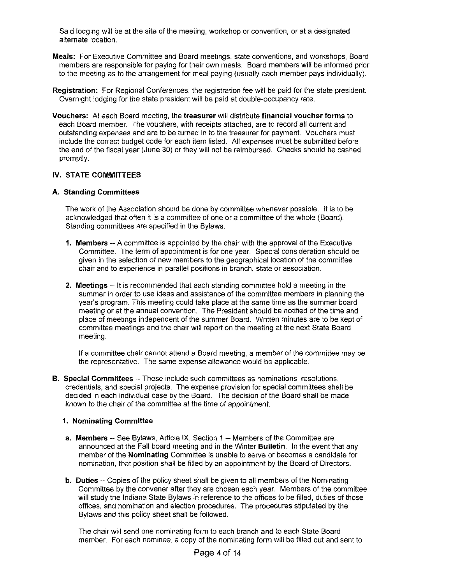Said lodging will be at the site of the meeting, workshop or convention, or at a designated alternate location.

- **Meals:** For Executive Committee and Board meetings, state conventions, and workshops, Board members are responsible for paying for their own meals. Board members will be informed prior to the meeting as to the arrangement for meal paying (usually each member pays individually).
- **Registration:** For Regional Conferences, the registration fee will be paid for the state president. Overnight lodging for the state president will be paid at double-occupancy rate.
- **Vouchers:** At each Board meeting, the **treasurer** will distribute **financial voucher forms** to each Board member. The vouchers, with receipts attached, are to record all current and outstanding expenses and are to be turned in to the treasurer for payment. Vouchers must include the correct budget code for each item listed. All expenses must be submitted before the end of the fiscal year (June 30) or they will not be reimbursed. Checks should be cashed promptly.

#### **IV.** STATE **COMMITTEES**

#### **A. Standing Committees**

The work of the Association should be done by committee whenever possible. It is to be acknowledged that often it is a committee of one or a committee of the whole (Board). Standing committees are specified in the Bylaws.

- **1. Members** -- A committee is appointed by the chair with the approval of the Executive Committee. The term of appointment is for one year. Special consideration should be given in the selection of new members to the geographical location of the committee chair and to experience in parallel positions in branch, state or association.
- **2. Meetings** -- It is recommended that each standing committee hold a meeting in the summer in order to use ideas and assistance of the committee members in planning the year's program. This meeting could take place at the same time as the summer board meeting or at the annual convention. The President should be notified of the time and place of meetings independent of the summer Board. Written minutes are to be kept of committee meetings and the chair will report on the meeting at the next State Board meeting.

If a committee chair cannot attend a Board meeting, a member of the committee may be the representative. The same expense allowance would be applicable.

**B. Special Committees** -- These include such committees as nominations, resolutions, credentials, and special projects. The expense provision for special committees shall be decided in each individual case by the Board. The decision of the Board shall be made known to the chair of the committee at the time of appointment.

#### **1. Nominating Committee**

- **a. Members** -- See Bylaws, Article IX, Section 1 -- Members of the Committee are announced at the Fall board meeting and in the Winter **Bulletin.** In the event that any member of the **Nominating** Committee is unable to serve or becomes a candidate for nomination, that position shall be filled by an appointment by the Board of Directors.
- **b. Duties** -- Copies of the policy sheet shall be given to all members of the Nominating Committee by the convener after they are chosen each year. Members of the committee will study the Indiana State Bylaws in reference to the offices to be filled, duties of those offices, and nomination and election procedures. The procedures stipulated by the Bylaws and this policy sheet shall be followed.

The chair will send one nominating form to each branch and to each State Board member. For each nominee, a copy of the nominating form will be filled out and sent to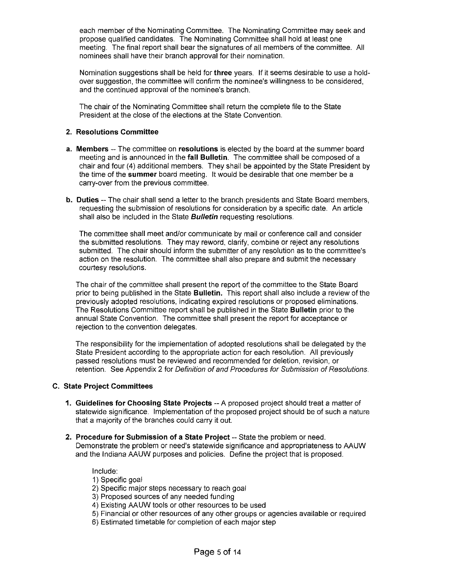each member of the Nominating Committee. The Nominating Committee may seek and propose qualified candidates. The Nominating Committee shall hold at least one meeting. The final report shall bear the signatures of all members of the committee. All nominees shall have their branch approval for their nomination.

Nomination suggestions shall be held for **three** years. If it seems desirable to use a holdover suggestion, the committee will confirm the nominee's willingness to be considered, and the continued approval of the nominee's branch.

The chair of the Nominating Committee shall return the complete file to the State President at the close of the elections at the State Convention.

#### **2. Resolutions Committee**

- **a. Members** -- The committee on **resolutions** is elected by the board at the summer board meeting and is announced in the **fall Bulletin.** The committee shall be composed of a chair and four (4) additional members. They shall be appointed by the State President by the time of the **summer** board meeting. It would be desirable that one member be a carry-over from the previous committee.
- **b. Duties** -- The chair shall send a letter to the branch presidents and State Board members, requesting the submission of resolutions for consideration by a specific date. An article shall also be included in the State **Bulletin** requesting resolutions.

The committee shall meet and/or communicate by mail or conference call and consider the submitted resolutions. They may reword, clarify, combine or reject any resolutions submitted. The chair should inform the submitter of any resolution as to the committee's action on the resolution. The committee shall also prepare and submit the necessary courtesy resolutions.

The chair of the committee shall present the report of the committee to the State Board prior to being published in the State **Bulletin.** This report shall also include a review of the previously adopted resolutions, indicating expired resolutions or proposed eliminations. The Resolutions Committee report shall be published in the State **Bulletin** prior to the annual State Convention. The committee shall present the report for acceptance or rejection to the convention delegates.

The responsibility for the implementation of adopted resolutions shall be delegated by the State President according to the appropriate action for each resolution. All previously passed resolutions must be reviewed and recommended for deletion, revision, or retention. See Appendix 2 for Definition of and Procedures for Submission of Resolutions.

#### **C. State Project Committees**

- **1. Guidelines for Choosing State Projects** -- A proposed project should treat a matter of statewide significance. Implementation of the proposed project should be of such a nature that a majority of the branches could carry it out.
- **2. Procedure for Submission of a State Project** -- State the problem or need. Demonstrate the problem or need's statewide significance and appropriateness to AAUW and the Indiana AAUW purposes and policies. Define the project that is proposed.

Include:

- 1) Specific goal
- 2) Specific major steps necessary to reach goal
- 3) Proposed sources of any needed funding
- 4) Existing AAUW tools or other resources to be used
- 5) Financial or other resources of any other groups or agencies available or required
- 6) Estimated timetable for completion of each major step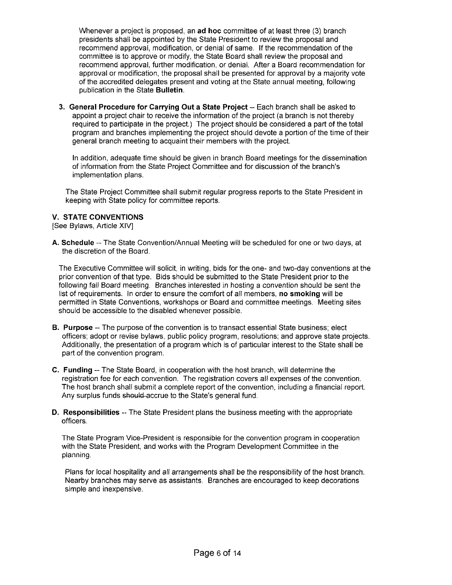Whenever a project is proposed, an **ad hoc** committee of at least three (3) branch presidents shall be appointed by the State President to review the proposal and recommend approval, modification, or denial of same. If the recommendation of the committee is to approve or modify, the State Board shall review the proposal and recommend approval, further modification, or denial. After a Board recommendation for approval or modification, the proposal shall be presented for approval by a majority vote of the accredited delegates present and voting at the State annual meeting, following publication in the State Bulletin.

3. General Procedure for Carrying Out a State Project -- Each branch shall be asked to appoint a project chair to receive the information of the project (a branch is not thereby required to participate in the project.) The project should be considered a part of the total program and branches implementing the project should devote a portion of the time of their general branch meeting to acquaint their members with the project.

In addition, adequate time should be given in branch Board meetings for the dissemination of information from the State Project Committee and for discussion of the branch's implementation plans.

The State Project Committee shall submit regular progress reports to the State President in keeping with State policy for committee reports.

#### V. STATE CONVENTIONS

[See Bylaws, Article XIV]

A. Schedule -- The State Convention/Annual Meeting will be scheduled for one or two days, at the discretion of the Board.

The Executive Committee will solicit, in writing, bids for the one- and two-day conventions at the prior convention of that type. Bids should be submitted to the State President prior to the following fall Board meeting. Branches interested in hosting a convention should be sent the list of requirements. In order to ensure the comfort of all members, no smoking will be permitted in State Conventions, workshops or Board and committee meetings. Meeting sites should be accessible to the disabled whenever possible.

- **B. Purpose** -- The purpose of the convention is to transact essential State business; elect officers; adopt or revise bylaws, public policy program, resolutions; and approve state projects. Additionally, the presentation of a program which is of particular interest to the State shall be part of the convention program.
- C. Funding -- The State Board, in cooperation with the host branch, will determine the registration fee for each convention. The registration covers all expenses of the convention. The host branch shall submit a complete report of the convention, including a financial report. Any surplus funds should accrue to the State's general fund.
- D. Responsibilities -- The State President plans the business meeting with the appropriate officers.

The State Program Vice-President is responsible for the convention program in cooperation with the State President, and works with the Program Development Committee in the planning.

Plans for local hospitality and all arrangements shall be the responsibility of the host branch. Nearby branches may serve as assistants. Branches are encouraged to keep decorations simple and inexpensive.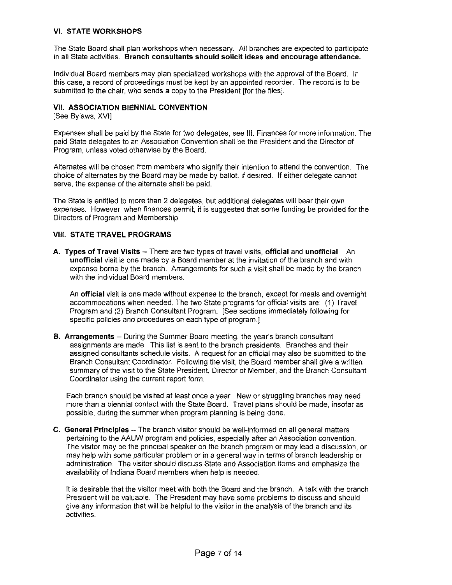#### VI. STATE WORKSHOPS

The State Board shall plan workshops when necessary. All branches are expected to participate in all State activities. Branch consultants should solicit ideas and encourage attendance.

Individual Board members may plan specialized workshops with the approval of the Board. In this case, a record of proceedings must be kept by an appointed recorder. The record is to be submitted to the chair, who sends a copy to the President [for the files].

#### VII. ASSOCIATION BIENNIAL CONVENTION

[See Bylaws, XVI]

Expenses shall be paid by the State for two delegates; see III. Finances for more information. The paid State delegates to an Association Convention shall be the President and the Director of Program, unless voted otherwise by the Board.

Alternates will be chosen from members who signify their intention to attend the convention. The choice of alternates by the Board may be made by ballot, if desired. If either delegate cannot serve, the expense of the alternate shall be paid.

The State is entitled to more than 2 delegates, but additional delegates will bear their own expenses. However, when finances permit, it is suggested that some funding be provided for the Directors of Program and Membership.

#### VIII. STATE TRAVEL PROGRAMS

A. Types of Travel Visits -- There are two types of travel visits, official and unofficial. An unofficial visit is one made by a Board member at the invitation of the branch and with expense borne by the branch. Arrangements for such a visit shall be made by the branch with the individual Board members.

An official visit is one made without expense to the branch, except for meals and overnight accommodations when needed. The two State programs for official visits are: (1) Travel Program and (2) Branch Consultant Program. [See sections immediately following for specific policies and procedures on each type of program.]

**B.** Arrangements -- During the Summer Board meeting, the year's branch consultant assignments are made. This list is sent to the branch presidents. Branches and their assigned consultants schedule visits. A request for an official may also be submitted to the Branch Consultant Coordinator. Following the visit, the Board member shall give a written summary of the visit to the State President, Director of Member, and the Branch Consultant Coordinator using the current report form.

Each branch should be visited at least once a year. New or struggling branches may need more than a biennial contact with the State Board. Travel plans should be made, insofar as possible, during the summer when program planning is being done.

C. General Principles -- The branch visitor should be well-informed on all general matters pertaining to the AAUW program and policies, especially after an Association convention. The visitor may be the principal speaker on the branch program or may lead a discussion, or may help with some particular problem or in a general way in terms of branch leadership or administration. The visitor should discuss State and Association items and emphasize the availability of Indiana Board members when help is needed.

It is desirable that the visitor meet with both the Board and the branch. A talk with the branch President will be valuable. The President may have some problems to discuss and should give any information that will be helpful to the visitor in the analysis of the branch and its activities.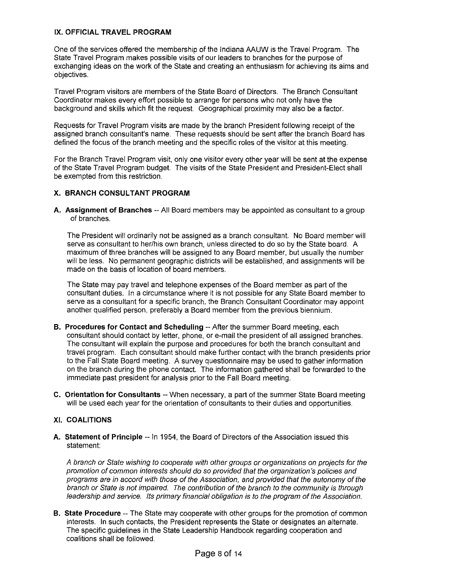## IX. OFFICIAL TRAVEL PROGRAM

One of the services offered the membership of the Indiana AAUW is the Travel Program. The State Travel Program makes possible visits of our leaders to branches for the purpose of exchanging ideas on the work of the State and creating an enthusiasm for achieving its aims and objectives.

Travel Program visitors are members of the State Board of Directors. The Branch Consultant Coordinator makes every effort possible to arrange for persons who not only have the background and skills which fit the request. Geographical proximity may also be a factor.

Requests for Travel Program visits are made by the branch President following receipt of the assigned branch consultant's name. These requests should be sent after the branch Board has defined the focus of the branch meeting and the specific roles of the visitor at this meeting.

For the Branch Travel Program visit, only one visitor every other year will be sent at the expense of the State Travel Program budget. The visits of the State President and President-Elect shall be exempted from this restriction.

#### X. BRANCH CONSULTANT PROGRAM

A. Assignment of Branches -- All Board members may be appointed as consultant to a group of branches.

The President will ordinarily not be assigned as a branch consultant. No Board member will serve as consultant to her/his own branch, unless directed to do so by the State board. A maximum of three branches will be assigned to any Board member, but usually the number will be less. No permanent geographic districts will be established, and assignments will be made on the basis of location of board members.

The State may pay travel and telephone expenses of the Board member as part of the consultant duties. In a circumstance where it is not possible for any State Board member to serve as a consultant for a specific branch, the Branch Consultant Coordinator may appoint another qualified person, preferably a Board member from the previous biennium.

- B. Procedures for Contact and Scheduling -- After the summer Board meeting, each consultant should contact by letter, phone, or e-mail the president of all assigned branches. The consultant will explain the purpose and procedures for both the branch consultant and travel program. Each consultant should make further contact with the branch presidents prior to the Fall State Board meeting. A survey questionnaire may be used to gather information on the branch during the phone contact. The information gathered shall be forwarded to the immediate past president for analysis prior to the Fall Board meeting.
- C. Orientation for Consultants -- When necessary, a part of the summer State Board meeting will be used each year for the orientation of consultants to their duties and opportunities.

#### XI. COALITIONS

A. Statement of Principle -- In 1954, the Board of Directors of the Association issued this statement:

A branch or State wishing to cooperate with other groups or organizations on projects for the promotion of common interests should do so provided that the organization's policies and programs are in accord with those of the Association, and provided that the autonomy of the branch or State is not impaired. The contribution of the branch to the community is through leadership and service. Its primary financial obligation is to the program of the Association.

**B.** State Procedure -- The State may cooperate with other groups for the promotion of common interests. In such contacts, the President represents the State or designates an alternate. The specific guidelines in the State Leadership Handbook regarding cooperation and coalitions shall be followed.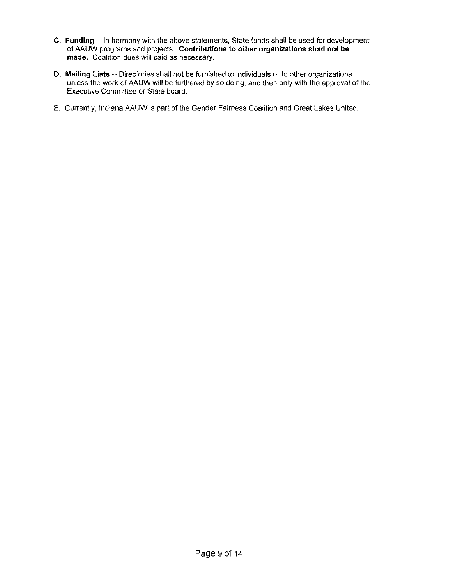- **C. Funding -- In** harmony with the above statements, State funds shall be used for development of AAUW programs and projects. **Contributions to other organizations shall not be made.** Coalition dues will paid as necessary.
- **D. Mailing Lists** -- Directories shall not be furnished to individuals or to other organizations unless the work of AAUW will be furthered by so doing, **and** then only with the approval of the Executive Committee or State board.
- E. Currently, Indiana AAUW is part of the Gender Fairness Coalition and Great Lakes United.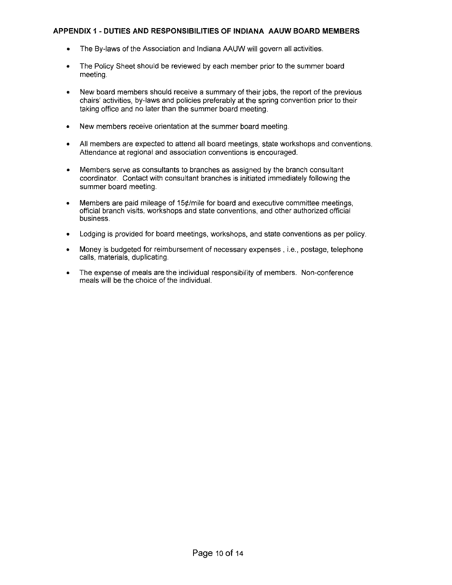## **APPENDIX 1 - DUTIES AND RESPONSIBILITIES OF INDIANA AAUW BOARD MEMBERS**

- **• The** By-laws of the Association and Indiana **AAUW** will govern all activities.
- **• The** Policy Sheet should be reviewed by each member prior to the summer board meeting.
- **• New** board members should receive a summary of their jobS, the report of the previous chairs' activities, by-laws and policies preferably at the spring convention prior to their taking office and no later than the summer board meeting.
- **• New** members receive orientation at the summer board meeting.
- All members are expected to attend all board meetings, state workshops and conventions. Attendance at regional and association conventions is encouraged.
- Members serve as consultants to branches as assigned by the branch consultant coordinator. Contact with consultant branches is initiated immediately following the summer board meeting.
- Members are paid mileage of 15¢/mile for board and executive committee meetings, official branch visits, workshops and state conventions, and other authorized official business.
- Lodging is provided for board meetings, workshops, and state conventions as per policy.
- Money is budgeted for reimbursement of necessary expenses, i.e., postage, telephone calls, materials, duplicating.
- **• The** expense of meals are the individual responsibility of members. Non-conference meals will be the choice of the individual.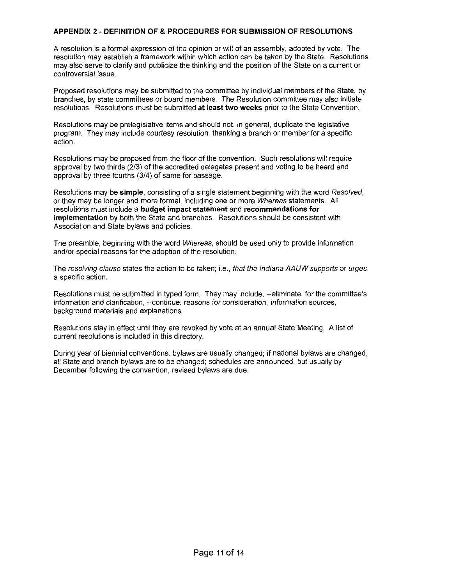#### **APPENDIX 2 - DEFINITION OF & PROCEDURES FOR SUBMISSION OF RESOLUTIONS**

A resolution is a formal expression of the opinion or will of an assembly, adopted by vote. The resolution may establish a framework within which action can be taken by the State. Resolutions may also serve to clarify and publicize the thinking and the position of the State on a current or controversial issue.

Proposed resolutions may be submitted to the committee by individual members of the State, by branches, by state committees or board members. The Resolution committee may also initiate resolutions. Resolutions must be submitted **at least two weeks** prior to the State Convention.

Resolutions may be prelegislative items and should not, in general, duplicate the legislative program. They may include courtesy resolution, thanking a branch or member for a specific action.

Resolutions may be proposed from the floor of the convention. Such resolutions will require approval by two thirds (2/3) of the accredited delegates present and voting to be heard and approval by three fourths (3/4) of same for passage.

Resolutions may be **simple,** consisting of a single statement beginning with the word Resolved, or they may be longer and more formal, including one or more Whereas statements. All resolutions must include a **budget impact statement** and **recommendations for implementation** by both the State and branches. Resolutions should be consistent with Association and State bylaws and policies.

The preamble, beginning with the word Whereas, should be used only to provide information and/or special reasons for the adoption of the resolution.

The resolving clause states the action to be taken; i.e., that the Indiana AAUWsupports **or** urges a specific action.

Resolutions must be submitted in typed form. They may include, --eliminate: for the committee's information and clarification, --continue: reasons for consideration, information sources, background materials and explanations.

Resolutions stay in effect until they are revoked by vote at an annual State Meeting. A list of current resolutions is included in this directory.

During year of biennial conventions: bylaws are usually changed; if national bylaws are changed, all State and branch bylaws are to be changed; schedules are announced, but usually by December following the convention, revised bylaws are due.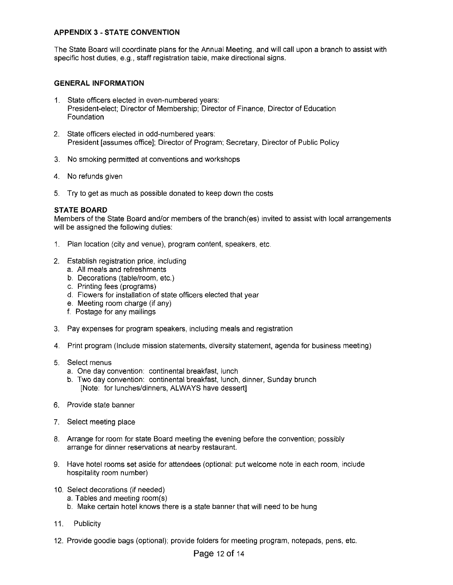# **APPENDIX 3 - STATE CONVENTION**

The State Board will coordinate plans for the Annual Meeting, and will call upon a branch to assist with specific host duties, e.g., staff registration table, make directional signs.

#### **GENERAL INFORMATION**

- 1. State officers elected in even-numbered years: President-elect; Director of Membership; Director of Finance, Director of Education Foundation
- 2. State officers elected in odd-numbered years: President [assumes office]; Director of Program; Secretary, Director of Public Policy
- 3. No smoking permitted at conventions and workshops
- 4. No refunds given
- 5. Try to get as much as possible donated to keep down the costs

#### **STATE BOARD**

Members of the State Board and/or members of the branch(es) invited to assist with local arrangements will be assigned the following duties:

- 1. Plan location (city and venue), program content, speakers, etc.
- 2. Establish registration price, including
	- a. All meals and refreshments
	- b. Decorations (table/room, etc.)
	- c. Printing fees (programs)
	- d. Flowers for installation of state officers elected that year
	- e. Meeting room charge (if any)
	- f. Postage for any mailings
- 3. Pay expenses for program speakers, including meals and registration
- 4. Print program (Include mission statements, diversity statement, agenda for business meeting)
- 5. Select menus
	- a. One day convention: continental breakfast, lunch
	- b. Two day convention: continental breakfast, lunch, dinner, Sunday brunch [Note: for lunches/dinners, ALWAYS have dessert]
- 6. Provide state banner
- 7. Select meeting place
- 8. Arrange for room for state Board meeting the evening before the convention; possibly arrange for dinner reservations at nearby restaurant.
- 9. Have hotel rooms set aside for attendees (optional: put welcome note in each room, include hospitality room number)
- 10. Select decorations (if needed)
	- a. Tables and meeting room(s)
	- b. Make certain hotel knows there is a state banner that will need to be hung
- 11. Publicity
- 12. Provide goodie bags (optional); provide folders for meeting program, notepads, pens, etc.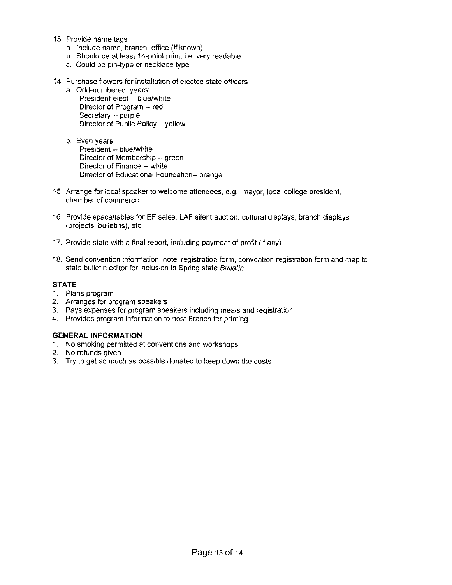- 13. Provide name tags
	- a. Include name, branch, office (if known)
	- b. Should be at least 14-point print, i.e, very readable
	- c. Could be pin-type or necklace type
- 14. Purchase flowers for installation of elected state officers
	- a. Odd-numbered years:
		- President-elect -- blue/white Director of Program -- red Secretary -- purple Director of Public Policy - yellow
	- b. Even years President -- blue/white Director of Membership -- green Director of Finance -- white Director of Educational Foundation-- orange
- 15. Arrange for local speaker to welcome attendees, e.g., mayor, local college president, chamber of commerce
- 16. Provide space/tables for EF sales, LAF silent auction, cultural displays, branch displays (projects, bulletins), etc.
- 17. Provide state with a final report, including payment of profit (if any)
- 18. Send convention information, hotel registration form, convention registration form and map to state bulletin editor for inclusion in Spring state Bulletin

## **STATE**

- 1. Plans program
- 2. Arranges for program speakers
- 3. Pays expenses for program speakers including meals and registration
- 4. Provides program information to host Branch for printing

## **GENERAL INFORMATION**

- 1. No smoking permitted at conventions and workshops
- 2. No refunds given
- 3. Try to get as much as possible donated to keep down the costs

 $\bar{\beta}$